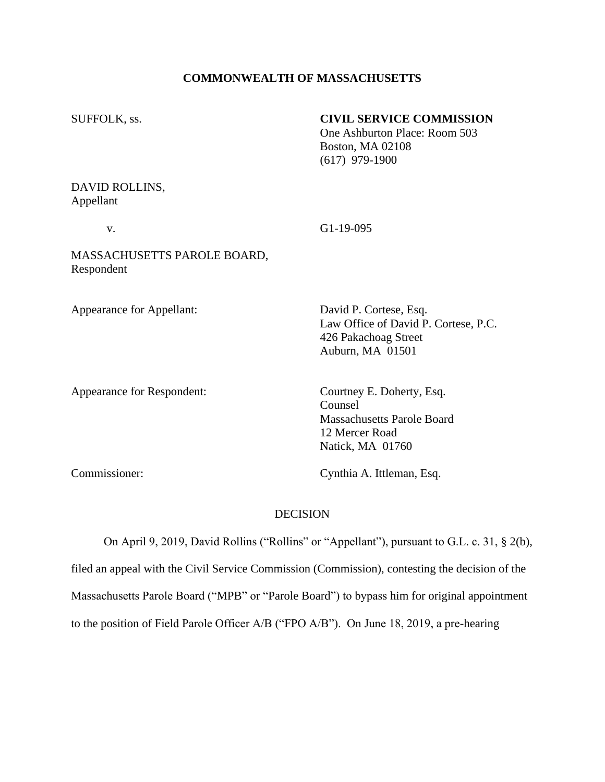## **COMMONWEALTH OF MASSACHUSETTS**

# SUFFOLK, ss. **CIVIL SERVICE COMMISSION**

One Ashburton Place: Room 503 Boston, MA 02108 (617) 979-1900

# DAVID ROLLINS, Appellant

v. G1-19-095

# MASSACHUSETTS PAROLE BOARD, Respondent

Appearance for Appellant: David P. Cortese, Esq.

Law Office of David P. Cortese, P.C. 426 Pakachoag Street Auburn, MA 01501

Appearance for Respondent: Courtney E. Doherty, Esq.

Counsel Massachusetts Parole Board 12 Mercer Road Natick, MA 01760

Commissioner: Cynthia A. Ittleman, Esq.

# DECISION

 On April 9, 2019, David Rollins ("Rollins" or "Appellant"), pursuant to G.L. c. 31, § 2(b), filed an appeal with the Civil Service Commission (Commission), contesting the decision of the Massachusetts Parole Board ("MPB" or "Parole Board") to bypass him for original appointment to the position of Field Parole Officer A/B ("FPO A/B"). On June 18, 2019, a pre-hearing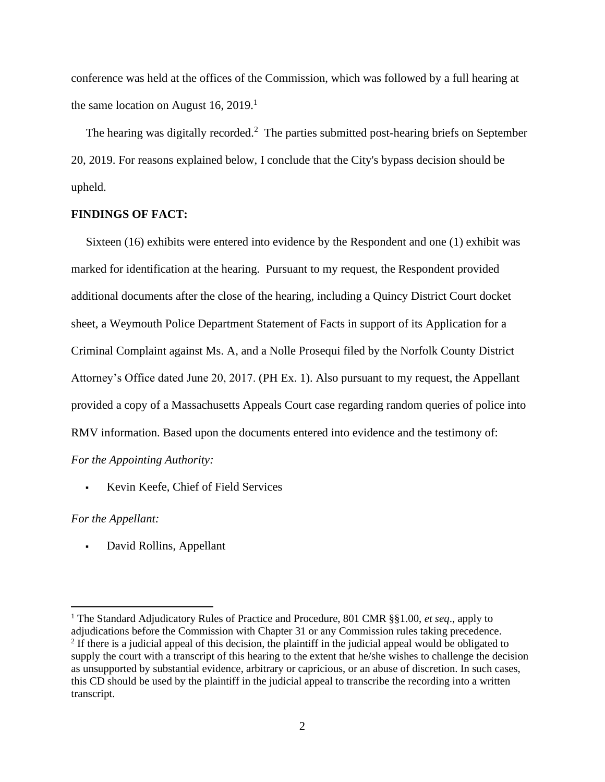conference was held at the offices of the Commission, which was followed by a full hearing at the same location on August 16,  $2019<sup>1</sup>$ 

The hearing was digitally recorded.<sup>2</sup> The parties submitted post-hearing briefs on September 20, 2019. For reasons explained below, I conclude that the City's bypass decision should be upheld.

## **FINDINGS OF FACT:**

 Sixteen (16) exhibits were entered into evidence by the Respondent and one (1) exhibit was marked for identification at the hearing. Pursuant to my request, the Respondent provided additional documents after the close of the hearing, including a Quincy District Court docket sheet, a Weymouth Police Department Statement of Facts in support of its Application for a Criminal Complaint against Ms. A, and a Nolle Prosequi filed by the Norfolk County District Attorney's Office dated June 20, 2017. (PH Ex. 1). Also pursuant to my request, the Appellant provided a copy of a Massachusetts Appeals Court case regarding random queries of police into RMV information. Based upon the documents entered into evidence and the testimony of: *For the Appointing Authority:*

▪ Kevin Keefe, Chief of Field Services

*For the Appellant:*

David Rollins, Appellant

<sup>1</sup> The Standard Adjudicatory Rules of Practice and Procedure, 801 CMR §§1.00, *et seq*., apply to adjudications before the Commission with Chapter 31 or any Commission rules taking precedence. <sup>2</sup> If there is a judicial appeal of this decision, the plaintiff in the judicial appeal would be obligated to supply the court with a transcript of this hearing to the extent that he/she wishes to challenge the decision as unsupported by substantial evidence, arbitrary or capricious, or an abuse of discretion. In such cases, this CD should be used by the plaintiff in the judicial appeal to transcribe the recording into a written transcript.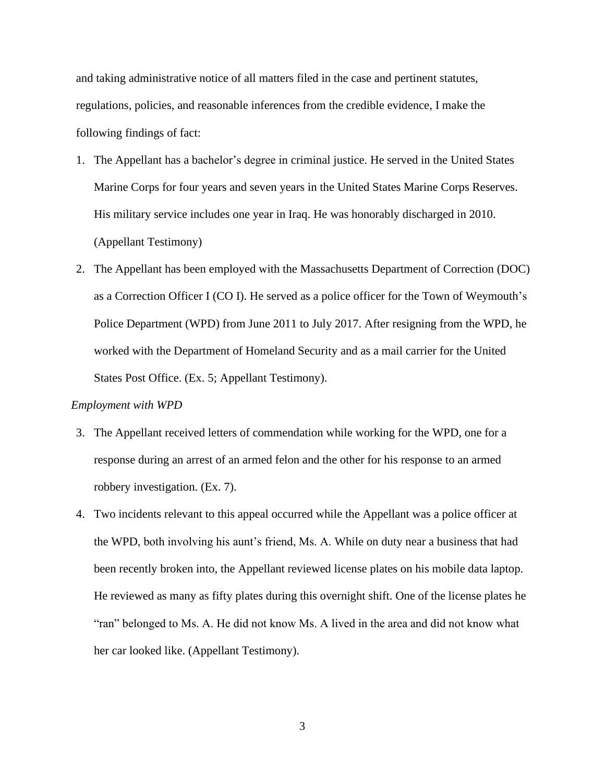and taking administrative notice of all matters filed in the case and pertinent statutes, regulations, policies, and reasonable inferences from the credible evidence, I make the following findings of fact:

- 1. The Appellant has a bachelor's degree in criminal justice. He served in the United States Marine Corps for four years and seven years in the United States Marine Corps Reserves. His military service includes one year in Iraq. He was honorably discharged in 2010. (Appellant Testimony)
- 2. The Appellant has been employed with the Massachusetts Department of Correction (DOC) as a Correction Officer I (CO I). He served as a police officer for the Town of Weymouth's Police Department (WPD) from June 2011 to July 2017. After resigning from the WPD, he worked with the Department of Homeland Security and as a mail carrier for the United States Post Office. (Ex. 5; Appellant Testimony).

## *Employment with WPD*

- 3. The Appellant received letters of commendation while working for the WPD, one for a response during an arrest of an armed felon and the other for his response to an armed robbery investigation. (Ex. 7).
- 4. Two incidents relevant to this appeal occurred while the Appellant was a police officer at the WPD, both involving his aunt's friend, Ms. A. While on duty near a business that had been recently broken into, the Appellant reviewed license plates on his mobile data laptop. He reviewed as many as fifty plates during this overnight shift. One of the license plates he "ran" belonged to Ms. A. He did not know Ms. A lived in the area and did not know what her car looked like. (Appellant Testimony).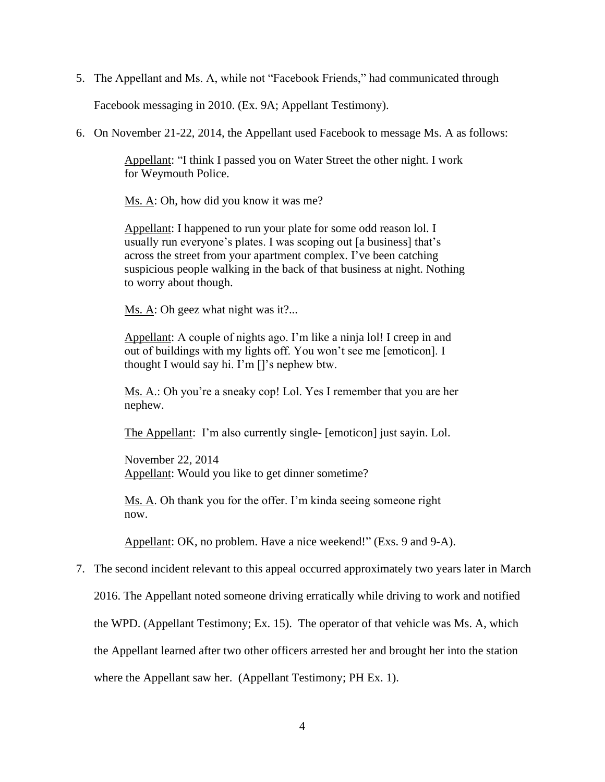5. The Appellant and Ms. A, while not "Facebook Friends," had communicated through

Facebook messaging in 2010. (Ex. 9A; Appellant Testimony).

6. On November 21-22, 2014, the Appellant used Facebook to message Ms. A as follows:

Appellant: "I think I passed you on Water Street the other night. I work for Weymouth Police.

Ms. A: Oh, how did you know it was me?

Appellant: I happened to run your plate for some odd reason lol. I usually run everyone's plates. I was scoping out [a business] that's across the street from your apartment complex. I've been catching suspicious people walking in the back of that business at night. Nothing to worry about though.

Ms. A: Oh geez what night was it?...

Appellant: A couple of nights ago. I'm like a ninja lol! I creep in and out of buildings with my lights off. You won't see me [emoticon]. I thought I would say hi. I'm []'s nephew btw.

Ms. A.: Oh you're a sneaky cop! Lol. Yes I remember that you are her nephew.

The Appellant: I'm also currently single- [emoticon] just sayin. Lol.

November 22, 2014 Appellant: Would you like to get dinner sometime?

Ms. A. Oh thank you for the offer. I'm kinda seeing someone right now.

Appellant: OK, no problem. Have a nice weekend!" (Exs. 9 and 9-A).

7. The second incident relevant to this appeal occurred approximately two years later in March

2016. The Appellant noted someone driving erratically while driving to work and notified

the WPD. (Appellant Testimony; Ex. 15). The operator of that vehicle was Ms. A, which

the Appellant learned after two other officers arrested her and brought her into the station

where the Appellant saw her. (Appellant Testimony; PH Ex. 1).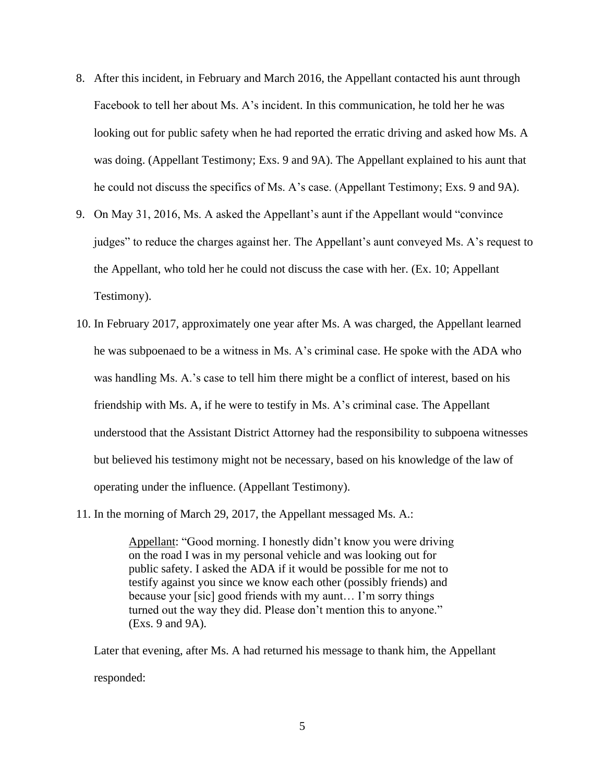- 8. After this incident, in February and March 2016, the Appellant contacted his aunt through Facebook to tell her about Ms. A's incident. In this communication, he told her he was looking out for public safety when he had reported the erratic driving and asked how Ms. A was doing. (Appellant Testimony; Exs. 9 and 9A). The Appellant explained to his aunt that he could not discuss the specifics of Ms. A's case. (Appellant Testimony; Exs. 9 and 9A).
- 9. On May 31, 2016, Ms. A asked the Appellant's aunt if the Appellant would "convince judges" to reduce the charges against her. The Appellant's aunt conveyed Ms. A's request to the Appellant, who told her he could not discuss the case with her. (Ex. 10; Appellant Testimony).
- 10. In February 2017, approximately one year after Ms. A was charged, the Appellant learned he was subpoenaed to be a witness in Ms. A's criminal case. He spoke with the ADA who was handling Ms. A.'s case to tell him there might be a conflict of interest, based on his friendship with Ms. A, if he were to testify in Ms. A's criminal case. The Appellant understood that the Assistant District Attorney had the responsibility to subpoena witnesses but believed his testimony might not be necessary, based on his knowledge of the law of operating under the influence. (Appellant Testimony).
- 11. In the morning of March 29, 2017, the Appellant messaged Ms. A.:

Appellant: "Good morning. I honestly didn't know you were driving on the road I was in my personal vehicle and was looking out for public safety. I asked the ADA if it would be possible for me not to testify against you since we know each other (possibly friends) and because your [sic] good friends with my aunt… I'm sorry things turned out the way they did. Please don't mention this to anyone." (Exs. 9 and 9A).

Later that evening, after Ms. A had returned his message to thank him, the Appellant responded: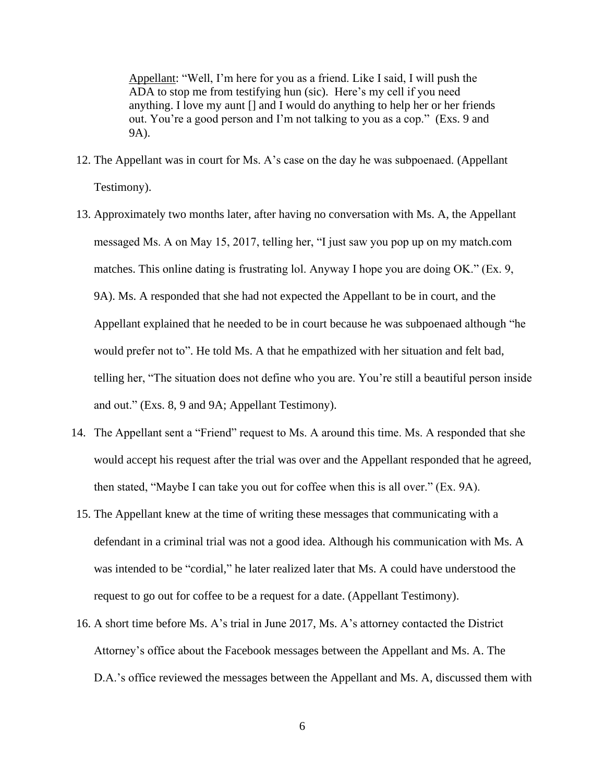Appellant: "Well, I'm here for you as a friend. Like I said, I will push the ADA to stop me from testifying hun (sic). Here's my cell if you need anything. I love my aunt [] and I would do anything to help her or her friends out. You're a good person and I'm not talking to you as a cop." (Exs. 9 and 9A).

- 12. The Appellant was in court for Ms. A's case on the day he was subpoenaed. (Appellant Testimony).
- 13. Approximately two months later, after having no conversation with Ms. A, the Appellant messaged Ms. A on May 15, 2017, telling her, "I just saw you pop up on my match.com matches. This online dating is frustrating lol. Anyway I hope you are doing OK." (Ex. 9, 9A). Ms. A responded that she had not expected the Appellant to be in court, and the Appellant explained that he needed to be in court because he was subpoenaed although "he would prefer not to". He told Ms. A that he empathized with her situation and felt bad, telling her, "The situation does not define who you are. You're still a beautiful person inside and out." (Exs. 8, 9 and 9A; Appellant Testimony).
- 14. The Appellant sent a "Friend" request to Ms. A around this time. Ms. A responded that she would accept his request after the trial was over and the Appellant responded that he agreed, then stated, "Maybe I can take you out for coffee when this is all over." (Ex. 9A).
- 15. The Appellant knew at the time of writing these messages that communicating with a defendant in a criminal trial was not a good idea. Although his communication with Ms. A was intended to be "cordial," he later realized later that Ms. A could have understood the request to go out for coffee to be a request for a date. (Appellant Testimony).
- 16. A short time before Ms. A's trial in June 2017, Ms. A's attorney contacted the District Attorney's office about the Facebook messages between the Appellant and Ms. A. The D.A.'s office reviewed the messages between the Appellant and Ms. A, discussed them with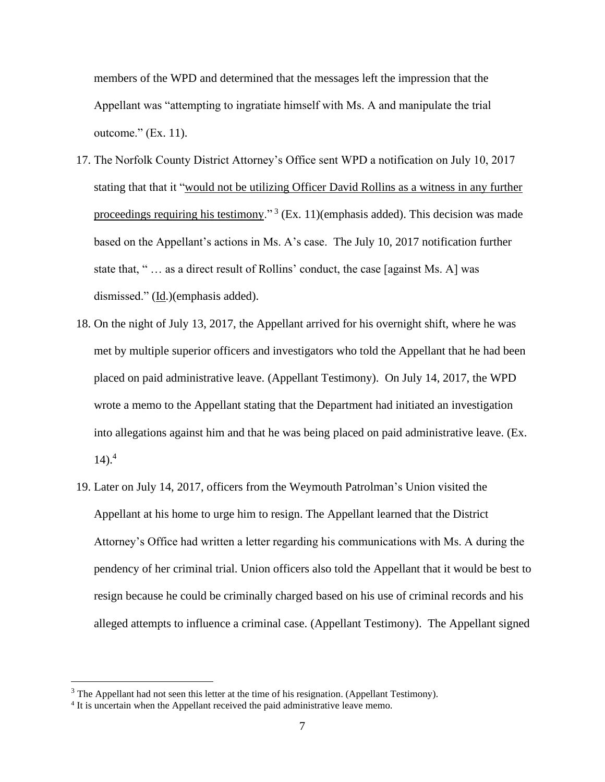members of the WPD and determined that the messages left the impression that the Appellant was "attempting to ingratiate himself with Ms. A and manipulate the trial outcome." (Ex. 11).

- 17. The Norfolk County District Attorney's Office sent WPD a notification on July 10, 2017 stating that that it "would not be utilizing Officer David Rollins as a witness in any further proceedings requiring his testimony."<sup>3</sup> (Ex. 11) (emphasis added). This decision was made based on the Appellant's actions in Ms. A's case. The July 10, 2017 notification further state that, " … as a direct result of Rollins' conduct, the case [against Ms. A] was dismissed." (Id.)(emphasis added).
- 18. On the night of July 13, 2017, the Appellant arrived for his overnight shift, where he was met by multiple superior officers and investigators who told the Appellant that he had been placed on paid administrative leave. (Appellant Testimony). On July 14, 2017, the WPD wrote a memo to the Appellant stating that the Department had initiated an investigation into allegations against him and that he was being placed on paid administrative leave. (Ex.  $14$ ).<sup>4</sup>
- 19. Later on July 14, 2017, officers from the Weymouth Patrolman's Union visited the Appellant at his home to urge him to resign. The Appellant learned that the District Attorney's Office had written a letter regarding his communications with Ms. A during the pendency of her criminal trial. Union officers also told the Appellant that it would be best to resign because he could be criminally charged based on his use of criminal records and his alleged attempts to influence a criminal case. (Appellant Testimony). The Appellant signed

<sup>&</sup>lt;sup>3</sup> The Appellant had not seen this letter at the time of his resignation. (Appellant Testimony).

<sup>&</sup>lt;sup>4</sup> It is uncertain when the Appellant received the paid administrative leave memo.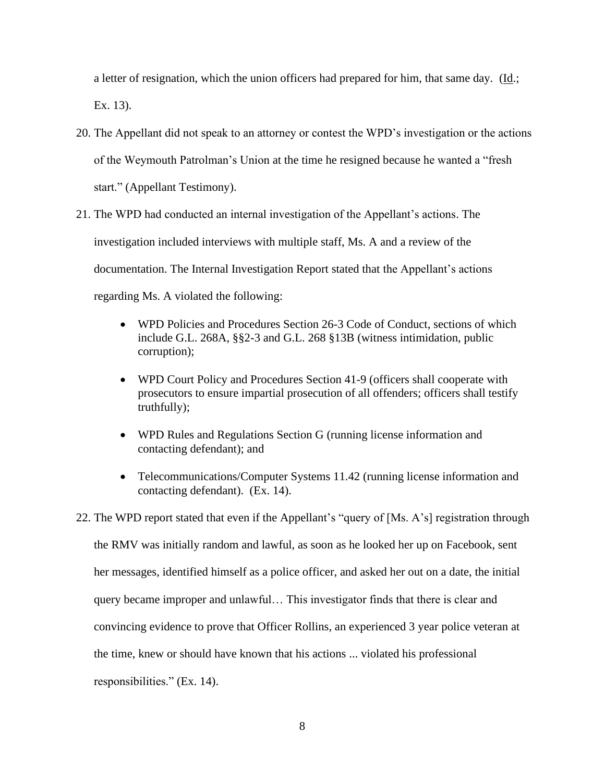a letter of resignation, which the union officers had prepared for him, that same day.  $(Id.;$ Ex. 13).

- 20. The Appellant did not speak to an attorney or contest the WPD's investigation or the actions of the Weymouth Patrolman's Union at the time he resigned because he wanted a "fresh start." (Appellant Testimony).
- 21. The WPD had conducted an internal investigation of the Appellant's actions. The investigation included interviews with multiple staff, Ms. A and a review of the documentation. The Internal Investigation Report stated that the Appellant's actions regarding Ms. A violated the following:
	- WPD Policies and Procedures Section 26-3 Code of Conduct, sections of which include G.L. 268A, §§2-3 and G.L. 268 §13B (witness intimidation, public corruption);
	- WPD Court Policy and Procedures Section 41-9 (officers shall cooperate with prosecutors to ensure impartial prosecution of all offenders; officers shall testify truthfully);
	- WPD Rules and Regulations Section G (running license information and contacting defendant); and
	- Telecommunications/Computer Systems 11.42 (running license information and contacting defendant). (Ex. 14).
- 22. The WPD report stated that even if the Appellant's "query of [Ms. A's] registration through the RMV was initially random and lawful, as soon as he looked her up on Facebook, sent her messages, identified himself as a police officer, and asked her out on a date, the initial query became improper and unlawful… This investigator finds that there is clear and convincing evidence to prove that Officer Rollins, an experienced 3 year police veteran at the time, knew or should have known that his actions ... violated his professional responsibilities." (Ex. 14).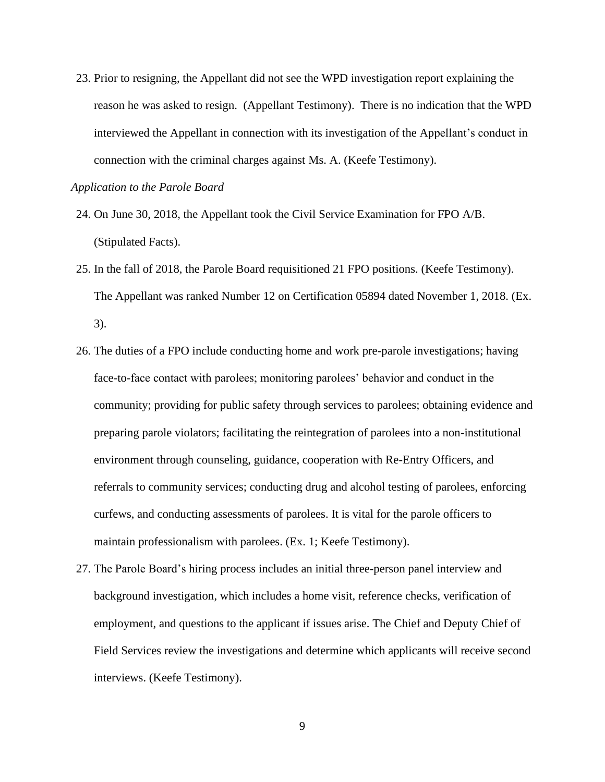23. Prior to resigning, the Appellant did not see the WPD investigation report explaining the reason he was asked to resign. (Appellant Testimony). There is no indication that the WPD interviewed the Appellant in connection with its investigation of the Appellant's conduct in connection with the criminal charges against Ms. A. (Keefe Testimony).

#### *Application to the Parole Board*

- 24. On June 30, 2018, the Appellant took the Civil Service Examination for FPO A/B. (Stipulated Facts).
- 25. In the fall of 2018, the Parole Board requisitioned 21 FPO positions. (Keefe Testimony). The Appellant was ranked Number 12 on Certification 05894 dated November 1, 2018. (Ex. 3).
- 26. The duties of a FPO include conducting home and work pre-parole investigations; having face-to-face contact with parolees; monitoring parolees' behavior and conduct in the community; providing for public safety through services to parolees; obtaining evidence and preparing parole violators; facilitating the reintegration of parolees into a non-institutional environment through counseling, guidance, cooperation with Re-Entry Officers, and referrals to community services; conducting drug and alcohol testing of parolees, enforcing curfews, and conducting assessments of parolees. It is vital for the parole officers to maintain professionalism with parolees. (Ex. 1; Keefe Testimony).
- 27. The Parole Board's hiring process includes an initial three-person panel interview and background investigation, which includes a home visit, reference checks, verification of employment, and questions to the applicant if issues arise. The Chief and Deputy Chief of Field Services review the investigations and determine which applicants will receive second interviews. (Keefe Testimony).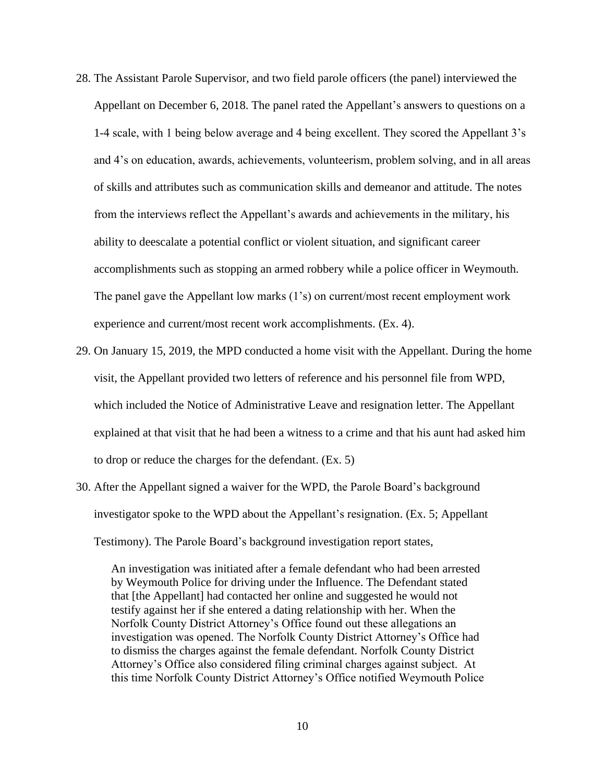- 28. The Assistant Parole Supervisor, and two field parole officers (the panel) interviewed the Appellant on December 6, 2018. The panel rated the Appellant's answers to questions on a 1-4 scale, with 1 being below average and 4 being excellent. They scored the Appellant 3's and 4's on education, awards, achievements, volunteerism, problem solving, and in all areas of skills and attributes such as communication skills and demeanor and attitude. The notes from the interviews reflect the Appellant's awards and achievements in the military, his ability to deescalate a potential conflict or violent situation, and significant career accomplishments such as stopping an armed robbery while a police officer in Weymouth. The panel gave the Appellant low marks (1's) on current/most recent employment work experience and current/most recent work accomplishments. (Ex. 4).
- 29. On January 15, 2019, the MPD conducted a home visit with the Appellant. During the home visit, the Appellant provided two letters of reference and his personnel file from WPD, which included the Notice of Administrative Leave and resignation letter. The Appellant explained at that visit that he had been a witness to a crime and that his aunt had asked him to drop or reduce the charges for the defendant. (Ex. 5)
- 30. After the Appellant signed a waiver for the WPD, the Parole Board's background investigator spoke to the WPD about the Appellant's resignation. (Ex. 5; Appellant Testimony). The Parole Board's background investigation report states,

An investigation was initiated after a female defendant who had been arrested by Weymouth Police for driving under the Influence. The Defendant stated that [the Appellant] had contacted her online and suggested he would not testify against her if she entered a dating relationship with her. When the Norfolk County District Attorney's Office found out these allegations an investigation was opened. The Norfolk County District Attorney's Office had to dismiss the charges against the female defendant. Norfolk County District Attorney's Office also considered filing criminal charges against subject. At this time Norfolk County District Attorney's Office notified Weymouth Police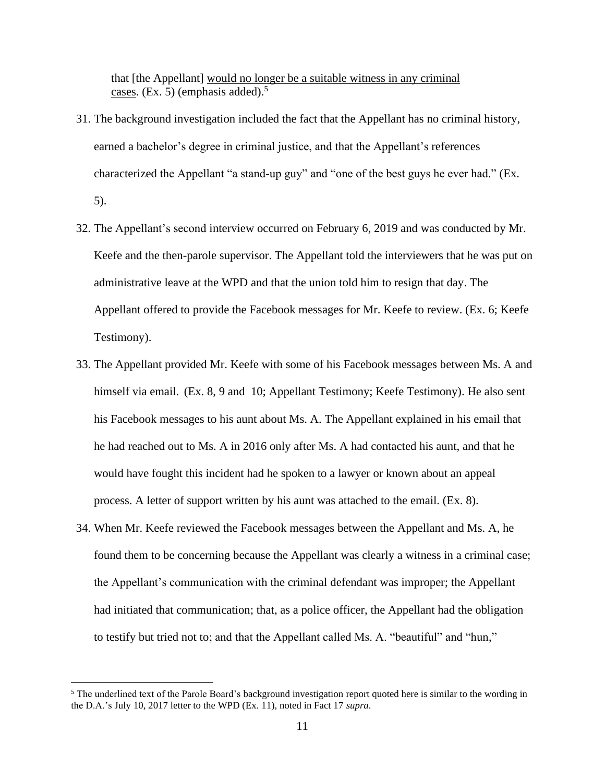that [the Appellant] would no longer be a suitable witness in any criminal cases. (Ex. 5) (emphasis added).<sup>5</sup>

- 31. The background investigation included the fact that the Appellant has no criminal history, earned a bachelor's degree in criminal justice, and that the Appellant's references characterized the Appellant "a stand-up guy" and "one of the best guys he ever had." (Ex. 5).
- 32. The Appellant's second interview occurred on February 6, 2019 and was conducted by Mr. Keefe and the then-parole supervisor. The Appellant told the interviewers that he was put on administrative leave at the WPD and that the union told him to resign that day. The Appellant offered to provide the Facebook messages for Mr. Keefe to review. (Ex. 6; Keefe Testimony).
- 33. The Appellant provided Mr. Keefe with some of his Facebook messages between Ms. A and himself via email. (Ex. 8, 9 and 10; Appellant Testimony; Keefe Testimony). He also sent his Facebook messages to his aunt about Ms. A. The Appellant explained in his email that he had reached out to Ms. A in 2016 only after Ms. A had contacted his aunt, and that he would have fought this incident had he spoken to a lawyer or known about an appeal process. A letter of support written by his aunt was attached to the email. (Ex. 8).
- 34. When Mr. Keefe reviewed the Facebook messages between the Appellant and Ms. A, he found them to be concerning because the Appellant was clearly a witness in a criminal case; the Appellant's communication with the criminal defendant was improper; the Appellant had initiated that communication; that, as a police officer, the Appellant had the obligation to testify but tried not to; and that the Appellant called Ms. A. "beautiful" and "hun,"

<sup>&</sup>lt;sup>5</sup> The underlined text of the Parole Board's background investigation report quoted here is similar to the wording in the D.A.'s July 10, 2017 letter to the WPD (Ex. 11), noted in Fact 17 *supra*.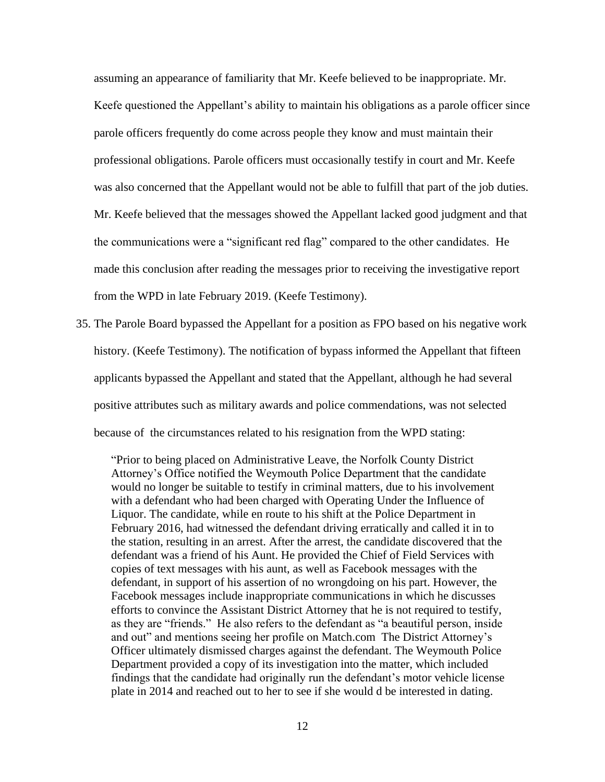assuming an appearance of familiarity that Mr. Keefe believed to be inappropriate. Mr. Keefe questioned the Appellant's ability to maintain his obligations as a parole officer since parole officers frequently do come across people they know and must maintain their professional obligations. Parole officers must occasionally testify in court and Mr. Keefe was also concerned that the Appellant would not be able to fulfill that part of the job duties. Mr. Keefe believed that the messages showed the Appellant lacked good judgment and that the communications were a "significant red flag" compared to the other candidates. He made this conclusion after reading the messages prior to receiving the investigative report from the WPD in late February 2019. (Keefe Testimony).

35. The Parole Board bypassed the Appellant for a position as FPO based on his negative work history. (Keefe Testimony). The notification of bypass informed the Appellant that fifteen applicants bypassed the Appellant and stated that the Appellant, although he had several positive attributes such as military awards and police commendations, was not selected because of the circumstances related to his resignation from the WPD stating:

"Prior to being placed on Administrative Leave, the Norfolk County District Attorney's Office notified the Weymouth Police Department that the candidate would no longer be suitable to testify in criminal matters, due to his involvement with a defendant who had been charged with Operating Under the Influence of Liquor. The candidate, while en route to his shift at the Police Department in February 2016, had witnessed the defendant driving erratically and called it in to the station, resulting in an arrest. After the arrest, the candidate discovered that the defendant was a friend of his Aunt. He provided the Chief of Field Services with copies of text messages with his aunt, as well as Facebook messages with the defendant, in support of his assertion of no wrongdoing on his part. However, the Facebook messages include inappropriate communications in which he discusses efforts to convince the Assistant District Attorney that he is not required to testify, as they are "friends." He also refers to the defendant as "a beautiful person, inside and out" and mentions seeing her profile on Match.com The District Attorney's Officer ultimately dismissed charges against the defendant. The Weymouth Police Department provided a copy of its investigation into the matter, which included findings that the candidate had originally run the defendant's motor vehicle license plate in 2014 and reached out to her to see if she would d be interested in dating.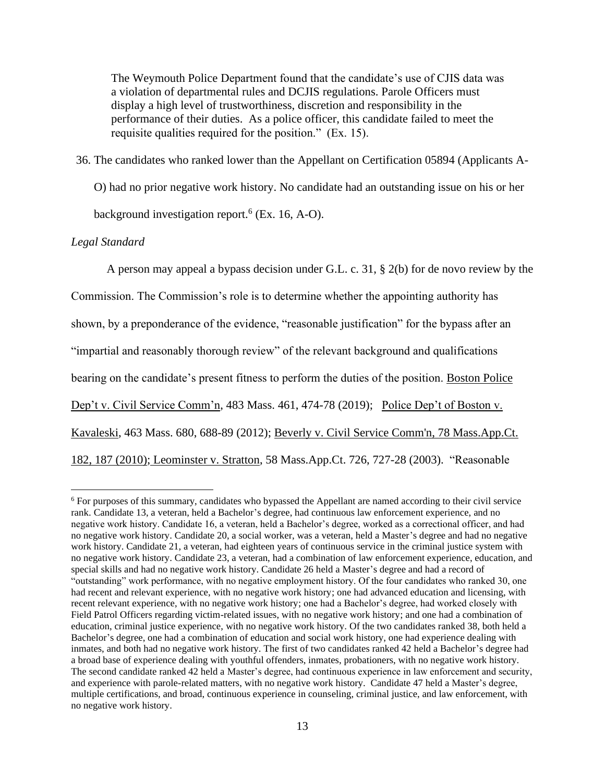The Weymouth Police Department found that the candidate's use of CJIS data was a violation of departmental rules and DCJIS regulations. Parole Officers must display a high level of trustworthiness, discretion and responsibility in the performance of their duties. As a police officer, this candidate failed to meet the requisite qualities required for the position." (Ex. 15).

## 36. The candidates who ranked lower than the Appellant on Certification 05894 (Applicants A-

O) had no prior negative work history. No candidate had an outstanding issue on his or her

background investigation report.<sup>6</sup> (Ex. 16, A-O).

## *Legal Standard*

A person may appeal a bypass decision under G.L. c. 31, § 2(b) for de novo review by the Commission. The Commission's role is to determine whether the appointing authority has shown, by a preponderance of the evidence, "reasonable justification" for the bypass after an "impartial and reasonably thorough review" of the relevant background and qualifications bearing on the candidate's present fitness to perform the duties of the position. Boston Police Dep't v. Civil Service Comm'n, 483 Mass. 461, 474-78 (2019); Police Dep't of Boston v. Kavaleski, 463 Mass. 680, 688-89 (2012); [Beverly v. Civil Service Comm'n, 78 Mass.App.Ct.](http://web2.westlaw.com/find/default.wl?mt=Massachusetts&db=578&rs=WLW15.04&tc=-1&rp=%2ffind%2fdefault.wl&findtype=Y&ordoc=2029136022&serialnum=2023501172&vr=2.0&fn=_top&sv=Split&tf=-1&pbc=70F732C1&utid=1)  [182, 187 \(2010\);](http://web2.westlaw.com/find/default.wl?mt=Massachusetts&db=578&rs=WLW15.04&tc=-1&rp=%2ffind%2fdefault.wl&findtype=Y&ordoc=2029136022&serialnum=2023501172&vr=2.0&fn=_top&sv=Split&tf=-1&pbc=70F732C1&utid=1) Leominster v. Stratton, 58 Mass.App.Ct. 726, 727-28 (2003). "Reasonable

<sup>6</sup> For purposes of this summary, candidates who bypassed the Appellant are named according to their civil service rank. Candidate 13, a veteran, held a Bachelor's degree, had continuous law enforcement experience, and no negative work history. Candidate 16, a veteran, held a Bachelor's degree, worked as a correctional officer, and had no negative work history. Candidate 20, a social worker, was a veteran, held a Master's degree and had no negative work history. Candidate 21, a veteran, had eighteen years of continuous service in the criminal justice system with no negative work history. Candidate 23, a veteran, had a combination of law enforcement experience, education, and special skills and had no negative work history. Candidate 26 held a Master's degree and had a record of "outstanding" work performance, with no negative employment history. Of the four candidates who ranked 30, one had recent and relevant experience, with no negative work history; one had advanced education and licensing, with recent relevant experience, with no negative work history; one had a Bachelor's degree, had worked closely with Field Patrol Officers regarding victim-related issues, with no negative work history; and one had a combination of education, criminal justice experience, with no negative work history. Of the two candidates ranked 38, both held a Bachelor's degree, one had a combination of education and social work history, one had experience dealing with inmates, and both had no negative work history. The first of two candidates ranked 42 held a Bachelor's degree had a broad base of experience dealing with youthful offenders, inmates, probationers, with no negative work history. The second candidate ranked 42 held a Master's degree, had continuous experience in law enforcement and security, and experience with parole-related matters, with no negative work history. Candidate 47 held a Master's degree, multiple certifications, and broad, continuous experience in counseling, criminal justice, and law enforcement, with no negative work history.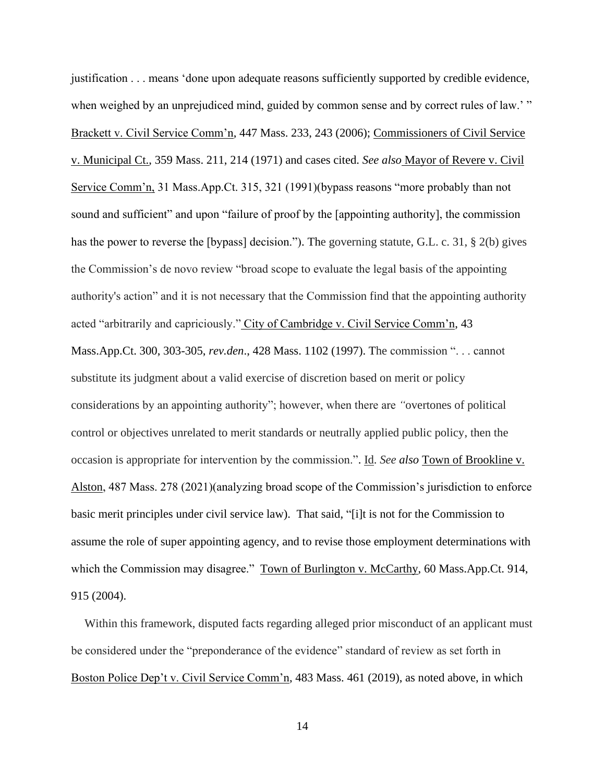justification . . . means 'done upon adequate reasons sufficiently supported by credible evidence, when weighed by an unprejudiced mind, guided by common sense and by correct rules of law.' " Brackett v. Civil Service Comm'n, 447 Mass. 233, 243 (2006); Commissioners of Civil Service v. Municipal Ct., 359 Mass. 211, 214 (1971) and cases cited. *See also* Mayor of Revere v. Civil Service Comm'n, 31 Mass.App.Ct. 315, 321 (1991)(bypass reasons "more probably than not sound and sufficient" and upon "failure of proof by the [appointing authority], the commission has the power to reverse the [bypass] decision."). The governing statute, G.L. c. 31, § 2(b) gives the Commission's de novo review "broad scope to evaluate the legal basis of the appointing authority's action" and it is not necessary that the Commission find that the appointing authority acted "arbitrarily and capriciously." City of Cambridge v. Civil Service Comm'n, 43 Mass.App.Ct. 300, 303-305, *rev.den*., 428 Mass. 1102 (1997). The commission ". . . cannot substitute its judgment about a valid exercise of discretion based on merit or policy considerations by an appointing authority"; however, when there are *"*overtones of political control or objectives unrelated to merit standards or neutrally applied public policy, then the occasion is appropriate for intervention by the commission.". Id. *See also* Town of Brookline v. Alston, 487 Mass. 278 (2021)(analyzing broad scope of the Commission's jurisdiction to enforce basic merit principles under civil service law). That said, "[i]t is not for the Commission to assume the role of super appointing agency, and to revise those employment determinations with which the Commission may disagree." Town of Burlington v. McCarthy, 60 Mass.App.Ct. 914, 915 (2004).

Within this framework, disputed facts regarding alleged prior misconduct of an applicant must be considered under the "preponderance of the evidence" standard of review as set forth in Boston Police Dep't v. Civil Service Comm'n, 483 Mass. 461 (2019), as noted above, in which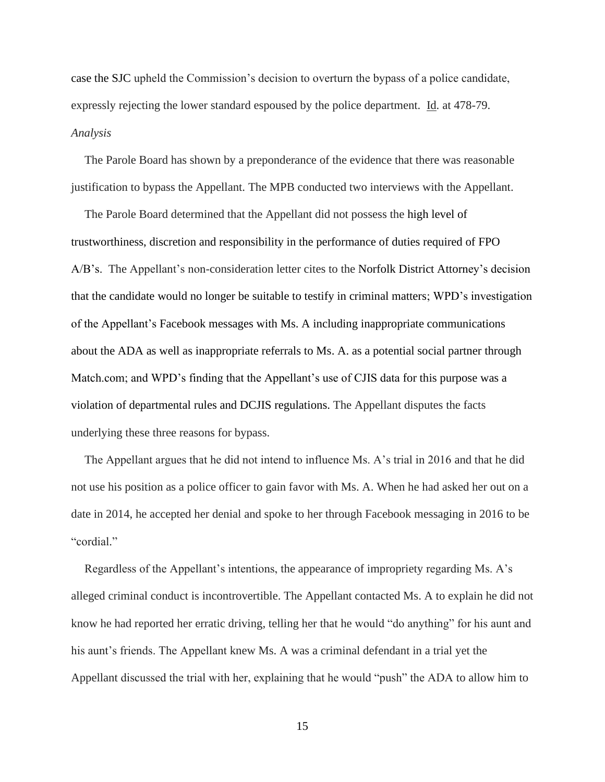case the SJC upheld the Commission's decision to overturn the bypass of a police candidate, expressly rejecting the lower standard espoused by the police department. Id. at 478-79. *Analysis*

The Parole Board has shown by a preponderance of the evidence that there was reasonable justification to bypass the Appellant. The MPB conducted two interviews with the Appellant.

The Parole Board determined that the Appellant did not possess the high level of trustworthiness, discretion and responsibility in the performance of duties required of FPO A/B's. The Appellant's non-consideration letter cites to the Norfolk District Attorney's decision that the candidate would no longer be suitable to testify in criminal matters; WPD's investigation of the Appellant's Facebook messages with Ms. A including inappropriate communications about the ADA as well as inappropriate referrals to Ms. A. as a potential social partner through Match.com; and WPD's finding that the Appellant's use of CJIS data for this purpose was a violation of departmental rules and DCJIS regulations. The Appellant disputes the facts underlying these three reasons for bypass.

The Appellant argues that he did not intend to influence Ms. A's trial in 2016 and that he did not use his position as a police officer to gain favor with Ms. A. When he had asked her out on a date in 2014, he accepted her denial and spoke to her through Facebook messaging in 2016 to be "cordial."

Regardless of the Appellant's intentions, the appearance of impropriety regarding Ms. A's alleged criminal conduct is incontrovertible. The Appellant contacted Ms. A to explain he did not know he had reported her erratic driving, telling her that he would "do anything" for his aunt and his aunt's friends. The Appellant knew Ms. A was a criminal defendant in a trial yet the Appellant discussed the trial with her, explaining that he would "push" the ADA to allow him to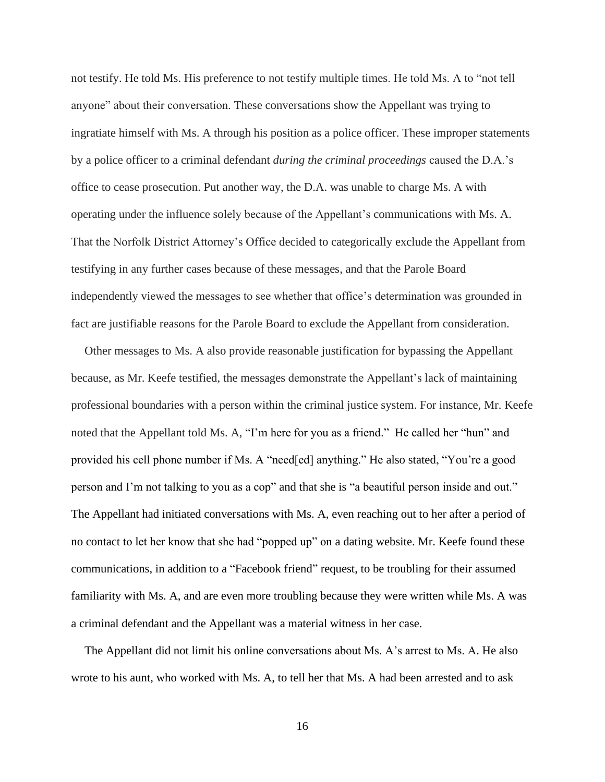not testify. He told Ms. His preference to not testify multiple times. He told Ms. A to "not tell anyone" about their conversation. These conversations show the Appellant was trying to ingratiate himself with Ms. A through his position as a police officer. These improper statements by a police officer to a criminal defendant *during the criminal proceedings* caused the D.A.'s office to cease prosecution. Put another way, the D.A. was unable to charge Ms. A with operating under the influence solely because of the Appellant's communications with Ms. A. That the Norfolk District Attorney's Office decided to categorically exclude the Appellant from testifying in any further cases because of these messages, and that the Parole Board independently viewed the messages to see whether that office's determination was grounded in fact are justifiable reasons for the Parole Board to exclude the Appellant from consideration.

Other messages to Ms. A also provide reasonable justification for bypassing the Appellant because, as Mr. Keefe testified, the messages demonstrate the Appellant's lack of maintaining professional boundaries with a person within the criminal justice system. For instance, Mr. Keefe noted that the Appellant told Ms. A, "I'm here for you as a friend." He called her "hun" and provided his cell phone number if Ms. A "need[ed] anything." He also stated, "You're a good person and I'm not talking to you as a cop" and that she is "a beautiful person inside and out." The Appellant had initiated conversations with Ms. A, even reaching out to her after a period of no contact to let her know that she had "popped up" on a dating website. Mr. Keefe found these communications, in addition to a "Facebook friend" request, to be troubling for their assumed familiarity with Ms. A, and are even more troubling because they were written while Ms. A was a criminal defendant and the Appellant was a material witness in her case.

The Appellant did not limit his online conversations about Ms. A's arrest to Ms. A. He also wrote to his aunt, who worked with Ms. A, to tell her that Ms. A had been arrested and to ask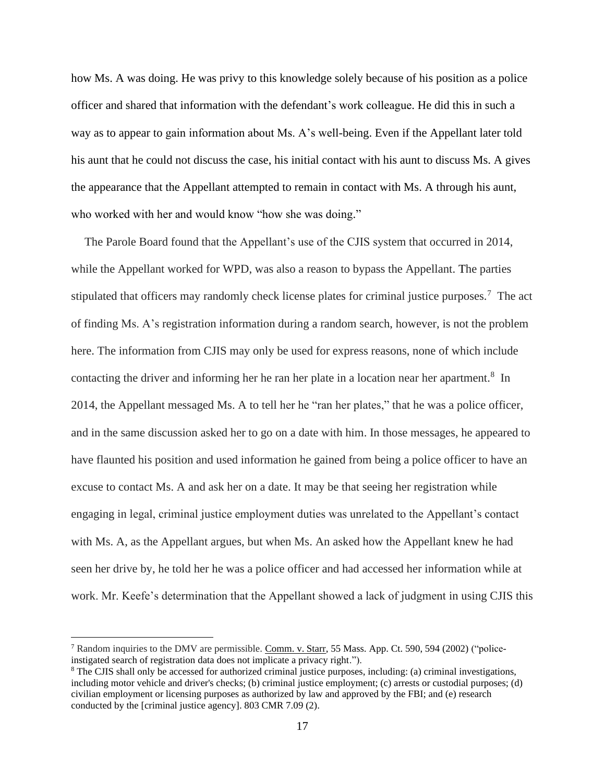how Ms. A was doing. He was privy to this knowledge solely because of his position as a police officer and shared that information with the defendant's work colleague. He did this in such a way as to appear to gain information about Ms. A's well-being. Even if the Appellant later told his aunt that he could not discuss the case, his initial contact with his aunt to discuss Ms. A gives the appearance that the Appellant attempted to remain in contact with Ms. A through his aunt, who worked with her and would know "how she was doing."

The Parole Board found that the Appellant's use of the CJIS system that occurred in 2014, while the Appellant worked for WPD, was also a reason to bypass the Appellant. The parties stipulated that officers may randomly check license plates for criminal justice purposes.<sup>7</sup> The act of finding Ms. A's registration information during a random search, however, is not the problem here. The information from CJIS may only be used for express reasons, none of which include contacting the driver and informing her he ran her plate in a location near her apartment.<sup>8</sup> In 2014, the Appellant messaged Ms. A to tell her he "ran her plates," that he was a police officer, and in the same discussion asked her to go on a date with him. In those messages, he appeared to have flaunted his position and used information he gained from being a police officer to have an excuse to contact Ms. A and ask her on a date. It may be that seeing her registration while engaging in legal, criminal justice employment duties was unrelated to the Appellant's contact with Ms. A, as the Appellant argues, but when Ms. An asked how the Appellant knew he had seen her drive by, he told her he was a police officer and had accessed her information while at work. Mr. Keefe's determination that the Appellant showed a lack of judgment in using CJIS this

<sup>7</sup> Random inquiries to the DMV are permissible. Comm. v. Starr, 55 Mass. App. Ct. 590, 594 (2002) ("policeinstigated search of registration data does not implicate a privacy right.").

<sup>8</sup> The CJIS shall only be accessed for authorized criminal justice purposes, including: (a) criminal investigations, including motor vehicle and driver's checks; (b) criminal justice employment; (c) arrests or custodial purposes; (d) civilian employment or licensing purposes as authorized by law and approved by the FBI; and (e) research conducted by the [criminal justice agency]. 803 CMR 7.09 (2).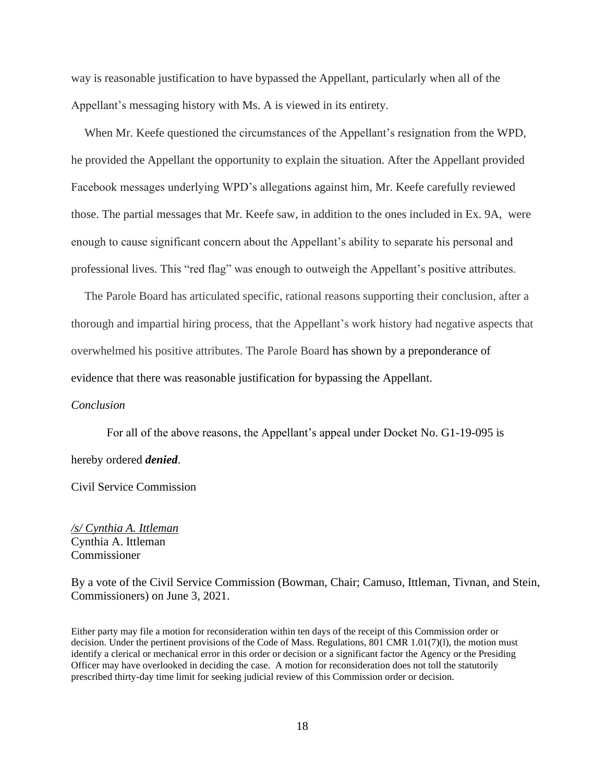way is reasonable justification to have bypassed the Appellant, particularly when all of the Appellant's messaging history with Ms. A is viewed in its entirety.

When Mr. Keefe questioned the circumstances of the Appellant's resignation from the WPD, he provided the Appellant the opportunity to explain the situation. After the Appellant provided Facebook messages underlying WPD's allegations against him, Mr. Keefe carefully reviewed those. The partial messages that Mr. Keefe saw, in addition to the ones included in Ex. 9A, were enough to cause significant concern about the Appellant's ability to separate his personal and professional lives. This "red flag" was enough to outweigh the Appellant's positive attributes.

The Parole Board has articulated specific, rational reasons supporting their conclusion, after a thorough and impartial hiring process, that the Appellant's work history had negative aspects that overwhelmed his positive attributes. The Parole Board has shown by a preponderance of evidence that there was reasonable justification for bypassing the Appellant.

## *Conclusion*

For all of the above reasons, the Appellant's appeal under Docket No. G1-19-095 is hereby ordered *denied*.

Civil Service Commission

*/s/ Cynthia A. Ittleman* Cynthia A. Ittleman Commissioner

By a vote of the Civil Service Commission (Bowman, Chair; Camuso, Ittleman, Tivnan, and Stein, Commissioners) on June 3, 2021.

Either party may file a motion for reconsideration within ten days of the receipt of this Commission order or decision. Under the pertinent provisions of the Code of Mass. Regulations, 801 CMR 1.01(7)(l), the motion must identify a clerical or mechanical error in this order or decision or a significant factor the Agency or the Presiding Officer may have overlooked in deciding the case. A motion for reconsideration does not toll the statutorily prescribed thirty-day time limit for seeking judicial review of this Commission order or decision.